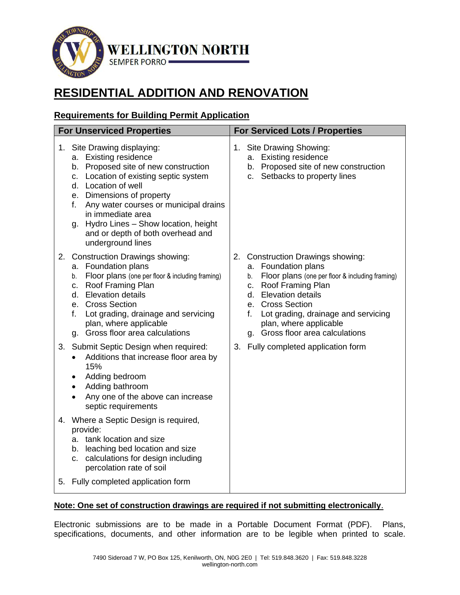

# **RESIDENTIAL ADDITION AND RENOVATION**

# **Requirements for Building Permit Application**

| <b>For Unserviced Properties</b>                                                                                                                                                                                                                                                                                                                                     | <b>For Serviced Lots / Properties</b>                                                                                                                                                                                                                                                                         |
|----------------------------------------------------------------------------------------------------------------------------------------------------------------------------------------------------------------------------------------------------------------------------------------------------------------------------------------------------------------------|---------------------------------------------------------------------------------------------------------------------------------------------------------------------------------------------------------------------------------------------------------------------------------------------------------------|
| 1. Site Drawing displaying:<br>a. Existing residence<br>b. Proposed site of new construction<br>c. Location of existing septic system<br>d. Location of well<br>e. Dimensions of property<br>Any water courses or municipal drains<br>f.<br>in immediate area<br>Hydro Lines - Show location, height<br>g.<br>and or depth of both overhead and<br>underground lines | 1. Site Drawing Showing:<br>a. Existing residence<br>b. Proposed site of new construction<br>c. Setbacks to property lines                                                                                                                                                                                    |
| <b>Construction Drawings showing:</b><br>2.<br>a. Foundation plans<br>Floor plans (one per floor & including framing)<br>b.<br>c. Roof Framing Plan<br>d. Elevation details<br>e. Cross Section<br>Lot grading, drainage and servicing<br>f.<br>plan, where applicable<br>g. Gross floor area calculations                                                           | 2. Construction Drawings showing:<br>a. Foundation plans<br>Floor plans (one per floor & including framing)<br>b.<br>Roof Framing Plan<br>C.<br><b>Elevation details</b><br>d.<br>e. Cross Section<br>Lot grading, drainage and servicing<br>f.<br>plan, where applicable<br>g. Gross floor area calculations |
| Submit Septic Design when required:<br>3.<br>Additions that increase floor area by<br>15%<br>Adding bedroom<br>Adding bathroom<br>Any one of the above can increase<br>septic requirements                                                                                                                                                                           | 3. Fully completed application form                                                                                                                                                                                                                                                                           |
| 4. Where a Septic Design is required,<br>provide:<br>a. tank location and size<br>b. leaching bed location and size<br>c. calculations for design including<br>percolation rate of soil                                                                                                                                                                              |                                                                                                                                                                                                                                                                                                               |
| 5. Fully completed application form                                                                                                                                                                                                                                                                                                                                  |                                                                                                                                                                                                                                                                                                               |

# **Note: One set of construction drawings are required if not submitting electronically**.

Electronic submissions are to be made in a Portable Document Format (PDF). Plans, specifications, documents, and other information are to be legible when printed to scale.